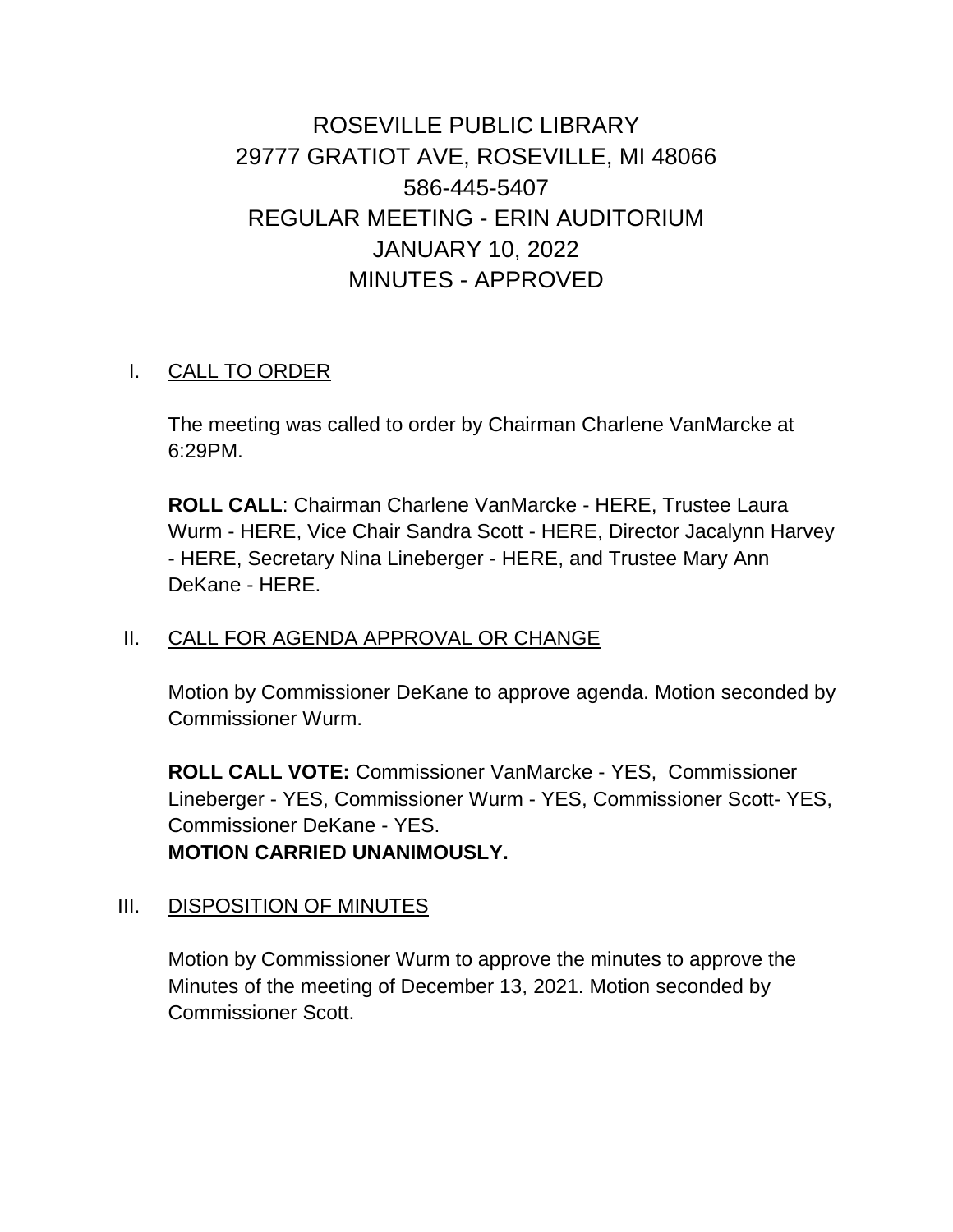ROSEVILLE PUBLIC LIBRARY 29777 GRATIOT AVE, ROSEVILLE, MI 48066 586-445-5407 REGULAR MEETING - ERIN AUDITORIUM JANUARY 10, 2022 MINUTES - APPROVED

### I. CALL TO ORDER

The meeting was called to order by Chairman Charlene VanMarcke at 6:29PM.

**ROLL CALL**: Chairman Charlene VanMarcke - HERE, Trustee Laura Wurm - HERE, Vice Chair Sandra Scott - HERE, Director Jacalynn Harvey - HERE, Secretary Nina Lineberger - HERE, and Trustee Mary Ann DeKane - HERE.

#### II. CALL FOR AGENDA APPROVAL OR CHANGE

Motion by Commissioner DeKane to approve agenda. Motion seconded by Commissioner Wurm.

**ROLL CALL VOTE:** Commissioner VanMarcke - YES, Commissioner Lineberger - YES, Commissioner Wurm - YES, Commissioner Scott- YES, Commissioner DeKane - YES. **MOTION CARRIED UNANIMOUSLY.**

#### III. DISPOSITION OF MINUTES

Motion by Commissioner Wurm to approve the minutes to approve the Minutes of the meeting of December 13, 2021. Motion seconded by Commissioner Scott.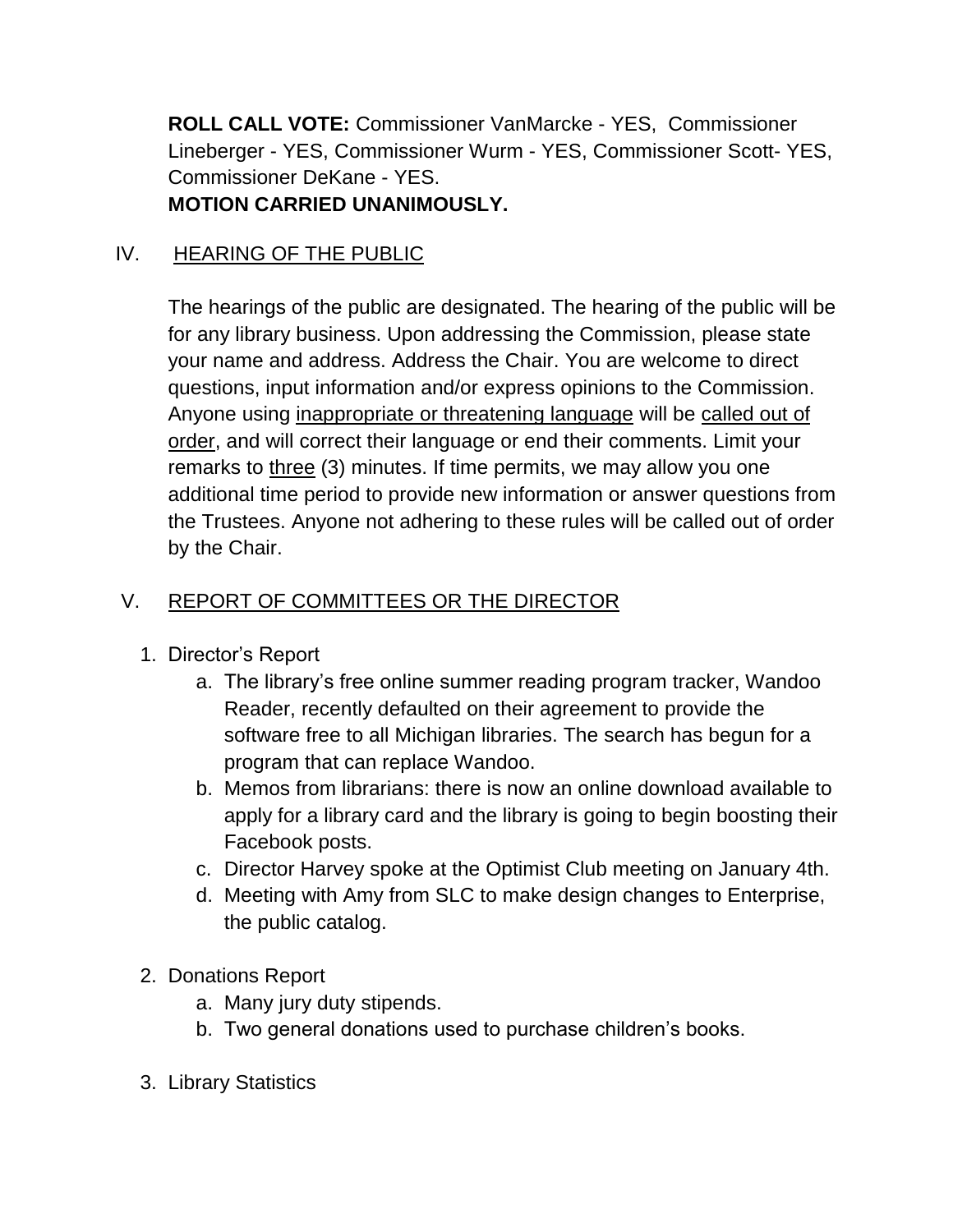**ROLL CALL VOTE:** Commissioner VanMarcke - YES, Commissioner Lineberger - YES, Commissioner Wurm - YES, Commissioner Scott- YES, Commissioner DeKane - YES. **MOTION CARRIED UNANIMOUSLY.**

### IV. HEARING OF THE PUBLIC

The hearings of the public are designated. The hearing of the public will be for any library business. Upon addressing the Commission, please state your name and address. Address the Chair. You are welcome to direct questions, input information and/or express opinions to the Commission. Anyone using inappropriate or threatening language will be called out of order, and will correct their language or end their comments. Limit your remarks to three (3) minutes. If time permits, we may allow you one additional time period to provide new information or answer questions from the Trustees. Anyone not adhering to these rules will be called out of order by the Chair.

## V. REPORT OF COMMITTEES OR THE DIRECTOR

- 1. Director's Report
	- a. The library's free online summer reading program tracker, Wandoo Reader, recently defaulted on their agreement to provide the software free to all Michigan libraries. The search has begun for a program that can replace Wandoo.
	- b. Memos from librarians: there is now an online download available to apply for a library card and the library is going to begin boosting their Facebook posts.
	- c. Director Harvey spoke at the Optimist Club meeting on January 4th.
	- d. Meeting with Amy from SLC to make design changes to Enterprise, the public catalog.
- 2. Donations Report
	- a. Many jury duty stipends.
	- b. Two general donations used to purchase children's books.
- 3. Library Statistics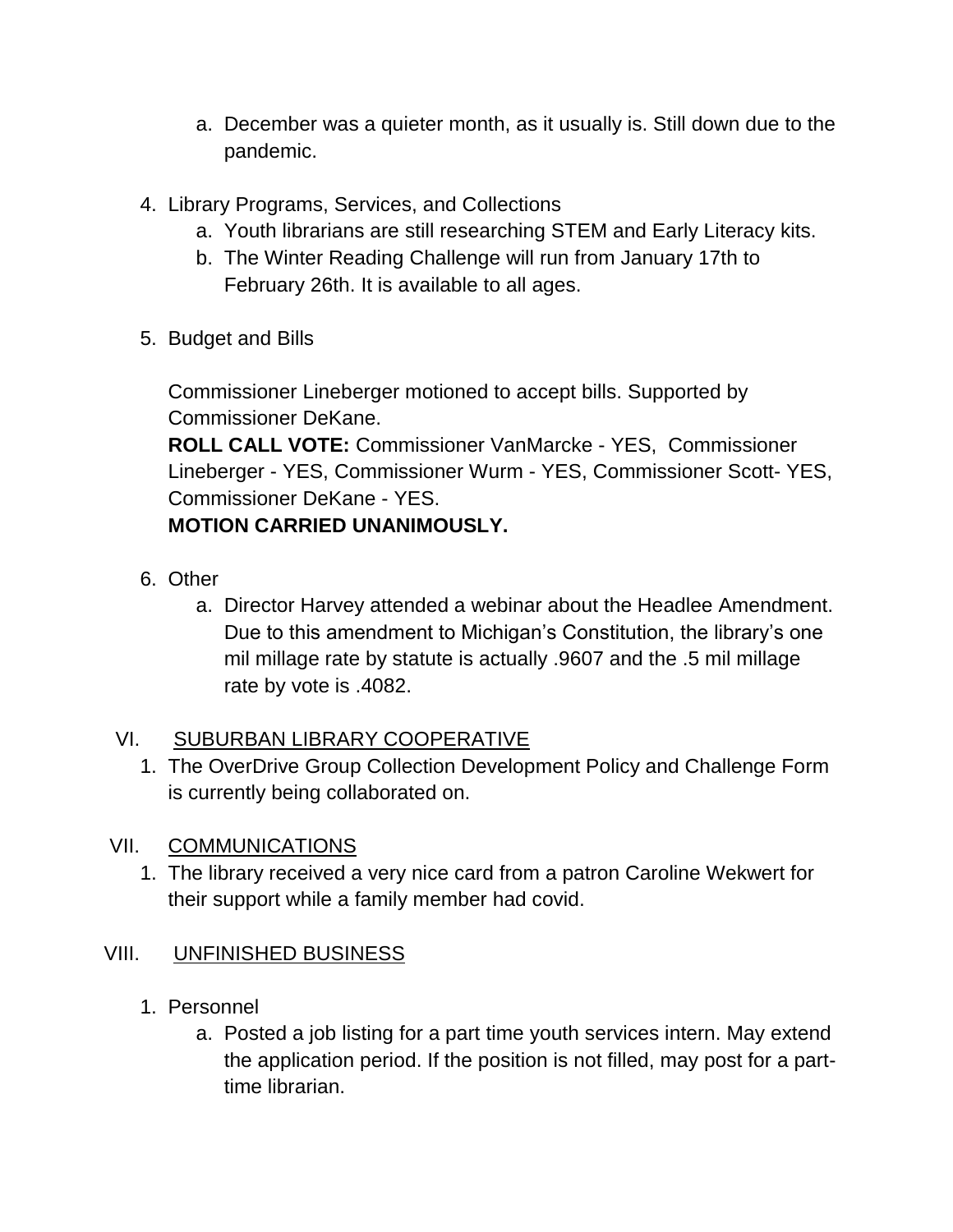- a. December was a quieter month, as it usually is. Still down due to the pandemic.
- 4. Library Programs, Services, and Collections
	- a. Youth librarians are still researching STEM and Early Literacy kits.
	- b. The Winter Reading Challenge will run from January 17th to February 26th. It is available to all ages.
- 5. Budget and Bills

Commissioner Lineberger motioned to accept bills. Supported by Commissioner DeKane.

**ROLL CALL VOTE:** Commissioner VanMarcke - YES, Commissioner Lineberger - YES, Commissioner Wurm - YES, Commissioner Scott- YES, Commissioner DeKane - YES.

# **MOTION CARRIED UNANIMOUSLY.**

- 6. Other
	- a. Director Harvey attended a webinar about the Headlee Amendment. Due to this amendment to Michigan's Constitution, the library's one mil millage rate by statute is actually .9607 and the .5 mil millage rate by vote is .4082.

### VI. SUBURBAN LIBRARY COOPERATIVE

1. The OverDrive Group Collection Development Policy and Challenge Form is currently being collaborated on.

### VII. COMMUNICATIONS

1. The library received a very nice card from a patron Caroline Wekwert for their support while a family member had covid.

### VIII. UNFINISHED BUSINESS

- 1. Personnel
	- a. Posted a job listing for a part time youth services intern. May extend the application period. If the position is not filled, may post for a parttime librarian.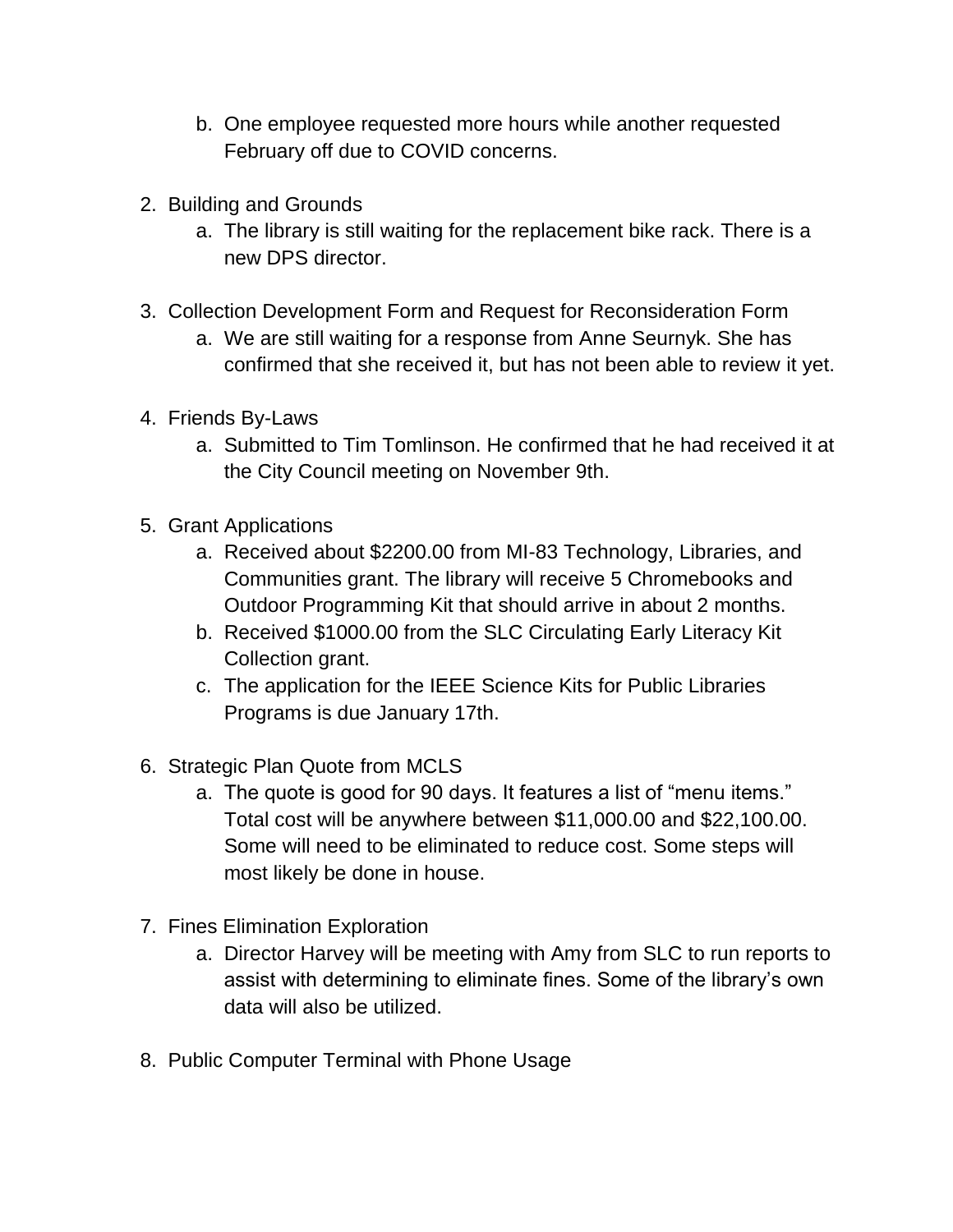- b. One employee requested more hours while another requested February off due to COVID concerns.
- 2. Building and Grounds
	- a. The library is still waiting for the replacement bike rack. There is a new DPS director.
- 3. Collection Development Form and Request for Reconsideration Form
	- a. We are still waiting for a response from Anne Seurnyk. She has confirmed that she received it, but has not been able to review it yet.
- 4. Friends By-Laws
	- a. Submitted to Tim Tomlinson. He confirmed that he had received it at the City Council meeting on November 9th.
- 5. Grant Applications
	- a. Received about \$2200.00 from MI-83 Technology, Libraries, and Communities grant. The library will receive 5 Chromebooks and Outdoor Programming Kit that should arrive in about 2 months.
	- b. Received \$1000.00 from the SLC Circulating Early Literacy Kit Collection grant.
	- c. The application for the IEEE Science Kits for Public Libraries Programs is due January 17th.
- 6. Strategic Plan Quote from MCLS
	- a. The quote is good for 90 days. It features a list of "menu items." Total cost will be anywhere between \$11,000.00 and \$22,100.00. Some will need to be eliminated to reduce cost. Some steps will most likely be done in house.
- 7. Fines Elimination Exploration
	- a. Director Harvey will be meeting with Amy from SLC to run reports to assist with determining to eliminate fines. Some of the library's own data will also be utilized.
- 8. Public Computer Terminal with Phone Usage